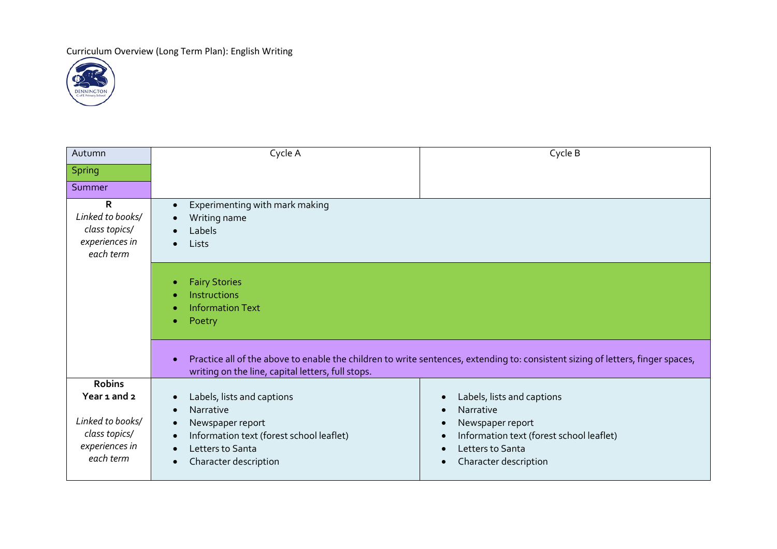Curriculum Overview (Long Term Plan): English Writing



| Autumn                                                                                            | Cycle A                                                                                                                                                                                                                            | Cycle B                                                                                                                                                                                                                |
|---------------------------------------------------------------------------------------------------|------------------------------------------------------------------------------------------------------------------------------------------------------------------------------------------------------------------------------------|------------------------------------------------------------------------------------------------------------------------------------------------------------------------------------------------------------------------|
| <b>Spring</b>                                                                                     |                                                                                                                                                                                                                                    |                                                                                                                                                                                                                        |
| Summer                                                                                            |                                                                                                                                                                                                                                    |                                                                                                                                                                                                                        |
| R<br>Linked to books/<br>class topics/<br>experiences in<br>each term                             | Experimenting with mark making<br>$\bullet$<br>Writing name<br>$\bullet$<br>Labels<br>Lists<br>$\bullet$                                                                                                                           |                                                                                                                                                                                                                        |
|                                                                                                   | <b>Fairy Stories</b><br>٠<br>Instructions<br><b>Information Text</b><br>Poetry<br>۰                                                                                                                                                |                                                                                                                                                                                                                        |
|                                                                                                   | Practice all of the above to enable the children to write sentences, extending to: consistent sizing of letters, finger spaces,<br>writing on the line, capital letters, full stops.                                               |                                                                                                                                                                                                                        |
| <b>Robins</b><br>Year 1 and 2<br>Linked to books/<br>class topics/<br>experiences in<br>each term | Labels, lists and captions<br>$\bullet$<br>Narrative<br>$\bullet$<br>Newspaper report<br>$\bullet$<br>Information text (forest school leaflet)<br>$\bullet$<br>Letters to Santa<br>$\bullet$<br>Character description<br>$\bullet$ | Labels, lists and captions<br>$\bullet$<br>Narrative<br>$\epsilon$<br>Newspaper report<br>$\bullet$<br>Information text (forest school leaflet)<br>$\bullet$<br>Letters to Santa<br>Character description<br>$\bullet$ |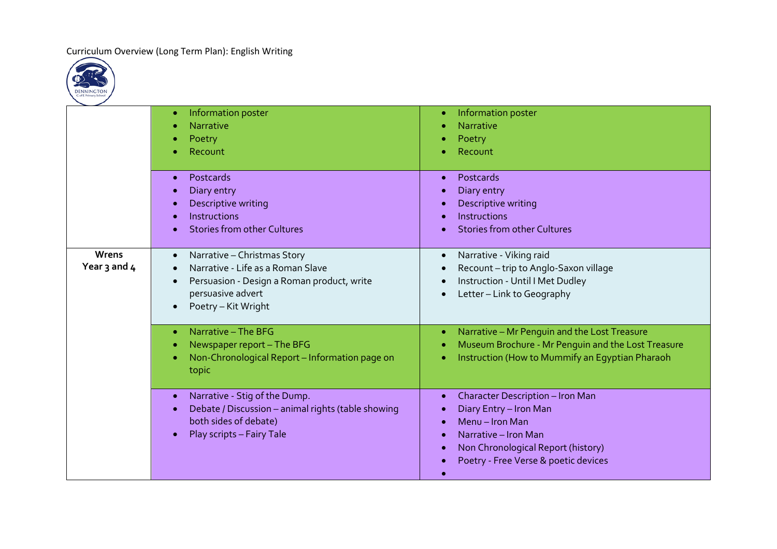Curriculum Overview (Long Term Plan): English Writing



|                       | Information poster<br>$\bullet$<br>Narrative<br>Poetry<br>Recount                                                                                                                                 | Information poster<br><b>Narrative</b><br>Poetry<br>Recount                                                                                                                                |
|-----------------------|---------------------------------------------------------------------------------------------------------------------------------------------------------------------------------------------------|--------------------------------------------------------------------------------------------------------------------------------------------------------------------------------------------|
|                       | Postcards<br>$\bullet$<br>Diary entry<br>Descriptive writing<br>Instructions<br><b>Stories from other Cultures</b>                                                                                | Postcards<br>Diary entry<br>Descriptive writing<br>Instructions<br><b>Stories from other Cultures</b>                                                                                      |
| Wrens<br>Year 3 and 4 | Narrative - Christmas Story<br>$\bullet$<br>Narrative - Life as a Roman Slave<br>Persuasion - Design a Roman product, write<br>$\bullet$<br>persuasive advert<br>Poetry - Kit Wright<br>$\bullet$ | Narrative - Viking raid<br>$\bullet$<br>Recount-trip to Anglo-Saxon village<br>Instruction - Until I Met Dudley<br>Letter - Link to Geography                                              |
|                       | Narrative - The BFG<br>$\bullet$<br>Newspaper report - The BFG<br>٠<br>Non-Chronological Report - Information page on<br>topic                                                                    | Narrative - Mr Penguin and the Lost Treasure<br>$\bullet$<br>Museum Brochure - Mr Penguin and the Lost Treasure<br>Instruction (How to Mummify an Egyptian Pharaoh                         |
|                       | Narrative - Stig of the Dump.<br>$\bullet$<br>Debate / Discussion - animal rights (table showing<br>both sides of debate)<br>Play scripts - Fairy Tale<br>$\bullet$                               | <b>Character Description - Iron Man</b><br>Diary Entry - Iron Man<br>Menu - Iron Man<br>Narrative - Iron Man<br>Non Chronological Report (history)<br>Poetry - Free Verse & poetic devices |